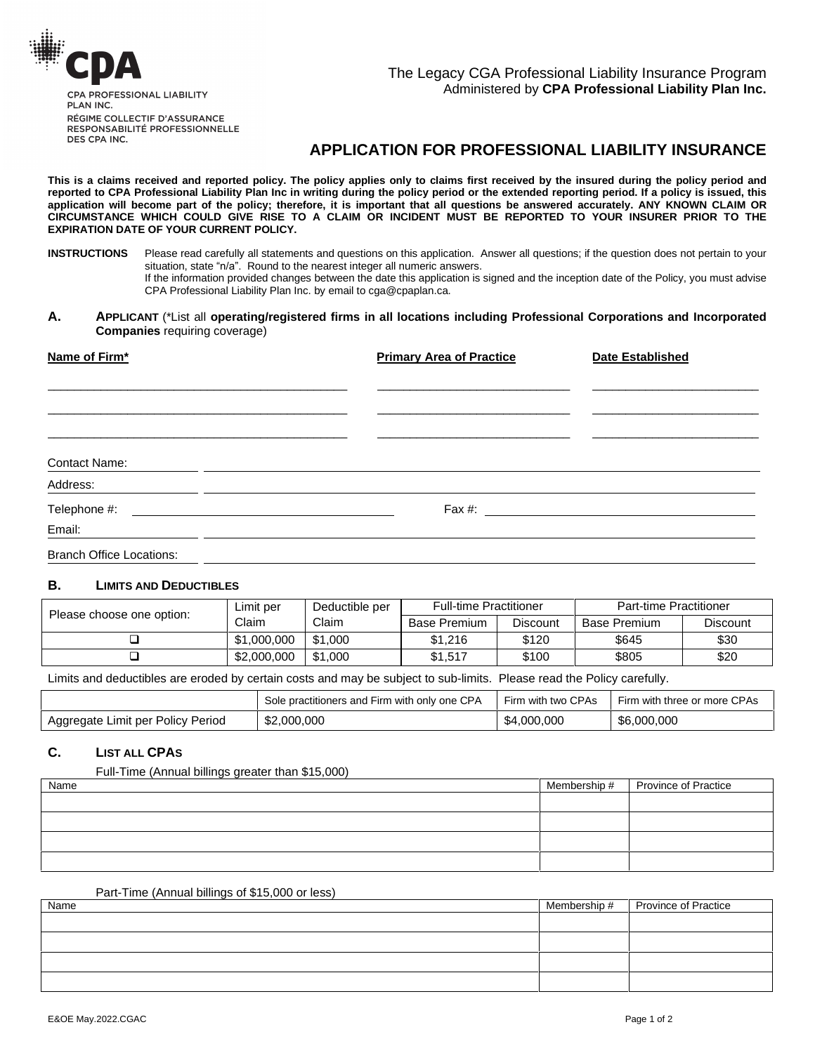

RESPONSABILITÉ PROFESSIONNELLE DES CPA INC.

# **APPLICATION FOR PROFESSIONAL LIABILITY INSURANCE**

This is a claims received and reported policy. The policy applies only to claims first received by the insured during the policy period and reported to CPA Professional Liability Plan Inc in writing during the policy period or the extended reporting period. If a policy is issued, this application will become part of the policy; therefore, it is important that all questions be answered accurately. ANY KNOWN CLAIM OR CIRCUMSTANCE WHICH COULD GIVE RISE TO A CLAIM OR INCIDENT MUST BE REPORTED TO YOUR INSURER PRIOR TO THE **EXPIRATION DATE OF YOUR CURRENT POLICY.**

#### **A. APPLICANT** (\*List all **operating/registered firms in all locations including Professional Corporations and Incorporated Companies** requiring coverage)

| Name of Firm* | <b>Primary Area of Practice</b> | <b>Date Established</b> |
|---------------|---------------------------------|-------------------------|
|               |                                 |                         |
|               |                                 |                         |
|               |                                 |                         |
| Contact Name: |                                 |                         |
| Address:      |                                 |                         |
| Telephone #:  |                                 |                         |
| Email:        |                                 |                         |

Branch Office Locations:

# **B. LIMITS AND DEDUCTIBLES**

| Please choose one option: | Limit per   | Deductible per | <b>Full-time Practitioner</b> |          | Part-time Practitioner |                 |  |
|---------------------------|-------------|----------------|-------------------------------|----------|------------------------|-----------------|--|
|                           | Claim       | Claim          | <b>Base Premium</b>           | Discount | <b>Base Premium</b>    | <b>Discount</b> |  |
|                           | \$1,000,000 | \$1,000        | \$1,216                       | \$120    | \$645                  | \$30            |  |
|                           | \$2,000,000 | \$1,000        | \$1.517                       | \$100    | \$805                  | \$20            |  |

Limits and deductibles are eroded by certain costs and may be subject to sub-limits. Please read the Policy carefully.

|                                   | Sole practitioners and Firm with only one CPA | Firm with two CPAs | Firm with three or more CPAs |
|-----------------------------------|-----------------------------------------------|--------------------|------------------------------|
| Aggregate Limit per Policy Period | \$2,000,000                                   | \$4,000,000        | \$6,000,000                  |

# **C. LIST ALL CPAS**

Full-Time (Annual billings greater than \$15,000)

| Name | Membership # | <b>Province of Practice</b> |
|------|--------------|-----------------------------|
|      |              |                             |
|      |              |                             |
|      |              |                             |
|      |              |                             |

# Part-Time (Annual billings of \$15,000 or less)

| Name | Membership # Province of Practice |
|------|-----------------------------------|
|      |                                   |
|      |                                   |
|      |                                   |
|      |                                   |
|      |                                   |

**INSTRUCTIONS** Please read carefully all statements and questions on this application. Answer all questions; if the question does not pertain to your situation, state in the nearest statement and questions on this application. Answers<br>Frease read carefully all statements and questions on this application. Answers. If the information provided changes between the date this application is signed and the inception date of the Policy, you must advise CPA Professional Liability Plan Inc. by email to cga@cpaplan.ca.